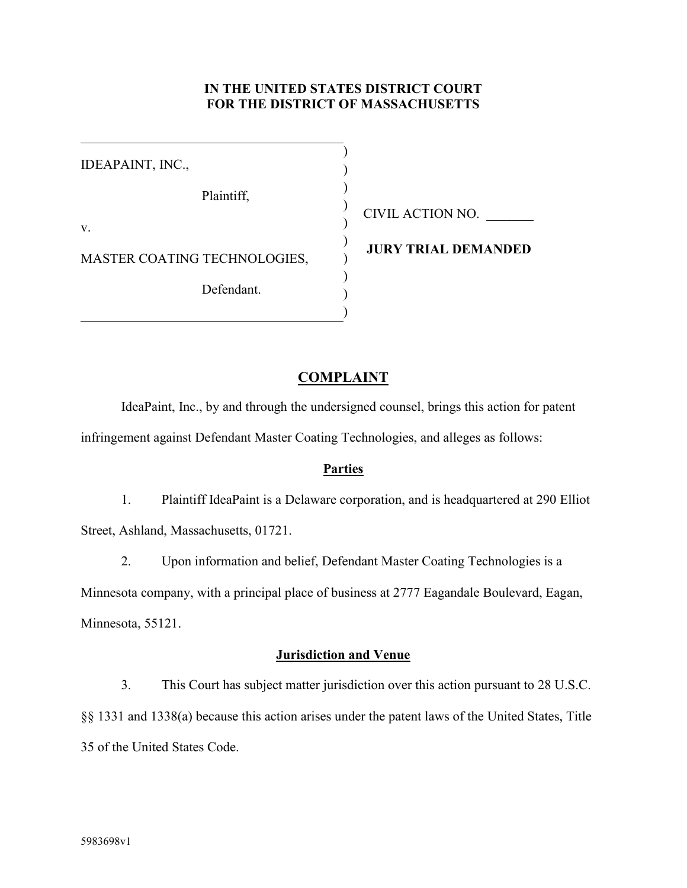## **IN THE UNITED STATES DISTRICT COURT FOR THE DISTRICT OF MASSACHUSETTS**

IDEAPAINT, INC., Plaintiff, v. MASTER COATING TECHNOLOGIES, Defendant. ) ) ) ) ) ) ) ) ) )

CIVIL ACTION NO. \_\_\_\_\_\_\_

**JURY TRIAL DEMANDED**

## **COMPLAINT**

IdeaPaint, Inc., by and through the undersigned counsel, brings this action for patent infringement against Defendant Master Coating Technologies, and alleges as follows:

## **Parties**

1. Plaintiff IdeaPaint is a Delaware corporation, and is headquartered at 290 Elliot Street, Ashland, Massachusetts, 01721.

2. Upon information and belief, Defendant Master Coating Technologies is a Minnesota company, with a principal place of business at 2777 Eagandale Boulevard, Eagan, Minnesota, 55121.

## **Jurisdiction and Venue**

3. This Court has subject matter jurisdiction over this action pursuant to 28 U.S.C.

§§ 1331 and 1338(a) because this action arises under the patent laws of the United States, Title 35 of the United States Code.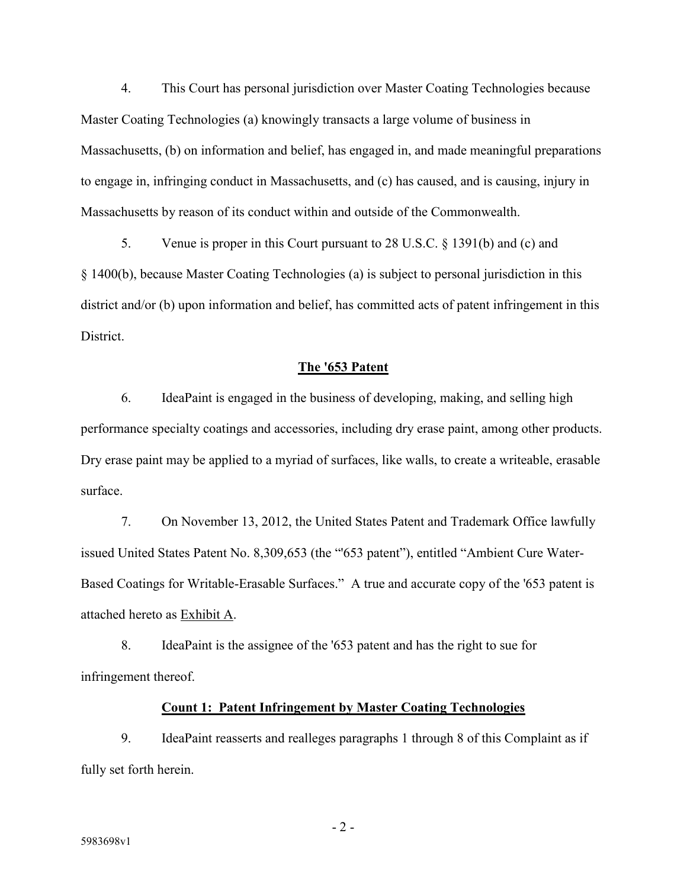4. This Court has personal jurisdiction over Master Coating Technologies because Master Coating Technologies (a) knowingly transacts a large volume of business in Massachusetts, (b) on information and belief, has engaged in, and made meaningful preparations to engage in, infringing conduct in Massachusetts, and (c) has caused, and is causing, injury in Massachusetts by reason of its conduct within and outside of the Commonwealth.

5. Venue is proper in this Court pursuant to 28 U.S.C. § 1391(b) and (c) and § 1400(b), because Master Coating Technologies (a) is subject to personal jurisdiction in this district and/or (b) upon information and belief, has committed acts of patent infringement in this District.

#### **The '653 Patent**

6. IdeaPaint is engaged in the business of developing, making, and selling high performance specialty coatings and accessories, including dry erase paint, among other products. Dry erase paint may be applied to a myriad of surfaces, like walls, to create a writeable, erasable surface.

7. On November 13, 2012, the United States Patent and Trademark Office lawfully issued United States Patent No. 8,309,653 (the "'653 patent"), entitled "Ambient Cure Water-Based Coatings for Writable-Erasable Surfaces." A true and accurate copy of the '653 patent is attached hereto as Exhibit A.

8. IdeaPaint is the assignee of the '653 patent and has the right to sue for infringement thereof.

### **Count 1: Patent Infringement by Master Coating Technologies**

9. IdeaPaint reasserts and realleges paragraphs 1 through 8 of this Complaint as if fully set forth herein.

- 2 -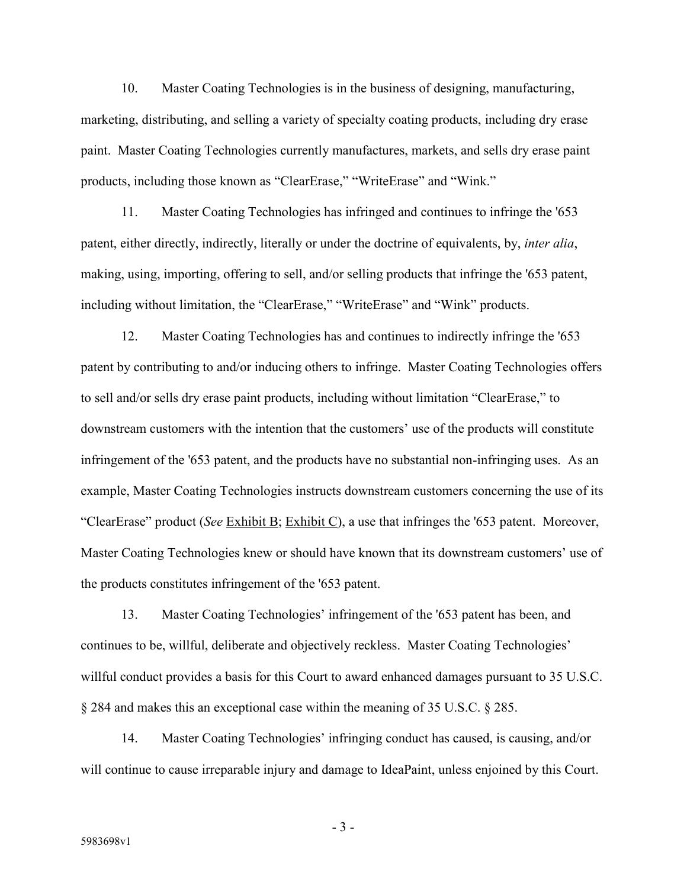10. Master Coating Technologies is in the business of designing, manufacturing, marketing, distributing, and selling a variety of specialty coating products, including dry erase paint. Master Coating Technologies currently manufactures, markets, and sells dry erase paint products, including those known as "ClearErase," "WriteErase" and "Wink."

11. Master Coating Technologies has infringed and continues to infringe the '653 patent, either directly, indirectly, literally or under the doctrine of equivalents, by, *inter alia*, making, using, importing, offering to sell, and/or selling products that infringe the '653 patent, including without limitation, the "ClearErase," "WriteErase" and "Wink" products.

12. Master Coating Technologies has and continues to indirectly infringe the '653 patent by contributing to and/or inducing others to infringe. Master Coating Technologies offers to sell and/or sells dry erase paint products, including without limitation "ClearErase," to downstream customers with the intention that the customers' use of the products will constitute infringement of the '653 patent, and the products have no substantial non-infringing uses. As an example, Master Coating Technologies instructs downstream customers concerning the use of its "ClearErase" product (*See* Exhibit B; Exhibit C), a use that infringes the '653 patent. Moreover, Master Coating Technologies knew or should have known that its downstream customers' use of the products constitutes infringement of the '653 patent.

13. Master Coating Technologies' infringement of the '653 patent has been, and continues to be, willful, deliberate and objectively reckless. Master Coating Technologies' willful conduct provides a basis for this Court to award enhanced damages pursuant to 35 U.S.C. § 284 and makes this an exceptional case within the meaning of 35 U.S.C. § 285.

14. Master Coating Technologies' infringing conduct has caused, is causing, and/or will continue to cause irreparable injury and damage to IdeaPaint, unless enjoined by this Court.

- 3 -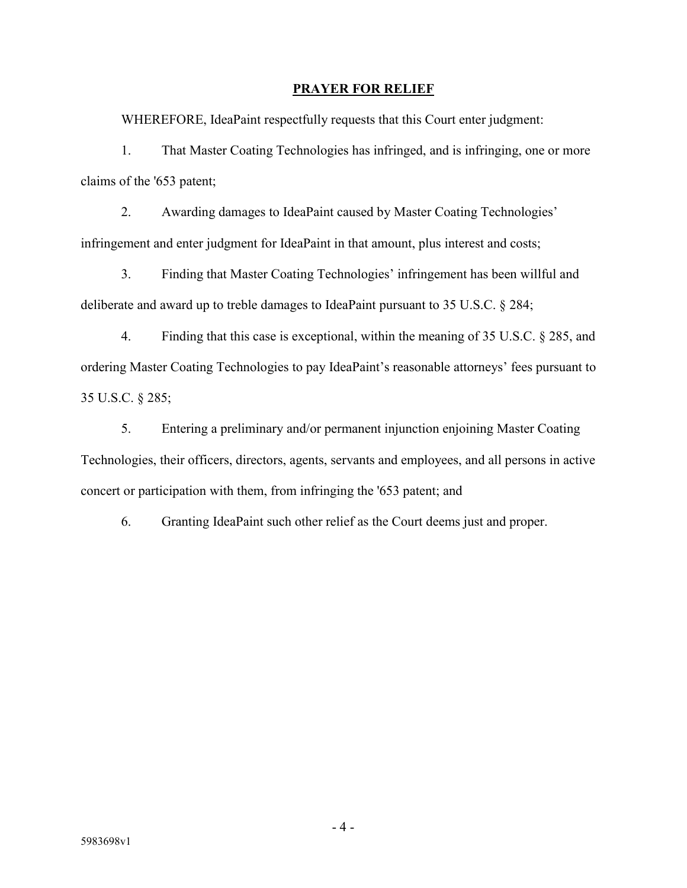### **PRAYER FOR RELIEF**

WHEREFORE, IdeaPaint respectfully requests that this Court enter judgment:

1. That Master Coating Technologies has infringed, and is infringing, one or more claims of the '653 patent;

2. Awarding damages to IdeaPaint caused by Master Coating Technologies' infringement and enter judgment for IdeaPaint in that amount, plus interest and costs;

3. Finding that Master Coating Technologies' infringement has been willful and deliberate and award up to treble damages to IdeaPaint pursuant to 35 U.S.C. § 284;

4. Finding that this case is exceptional, within the meaning of 35 U.S.C. § 285, and ordering Master Coating Technologies to pay IdeaPaint's reasonable attorneys' fees pursuant to 35 U.S.C. § 285;

5. Entering a preliminary and/or permanent injunction enjoining Master Coating Technologies, their officers, directors, agents, servants and employees, and all persons in active concert or participation with them, from infringing the '653 patent; and

6. Granting IdeaPaint such other relief as the Court deems just and proper.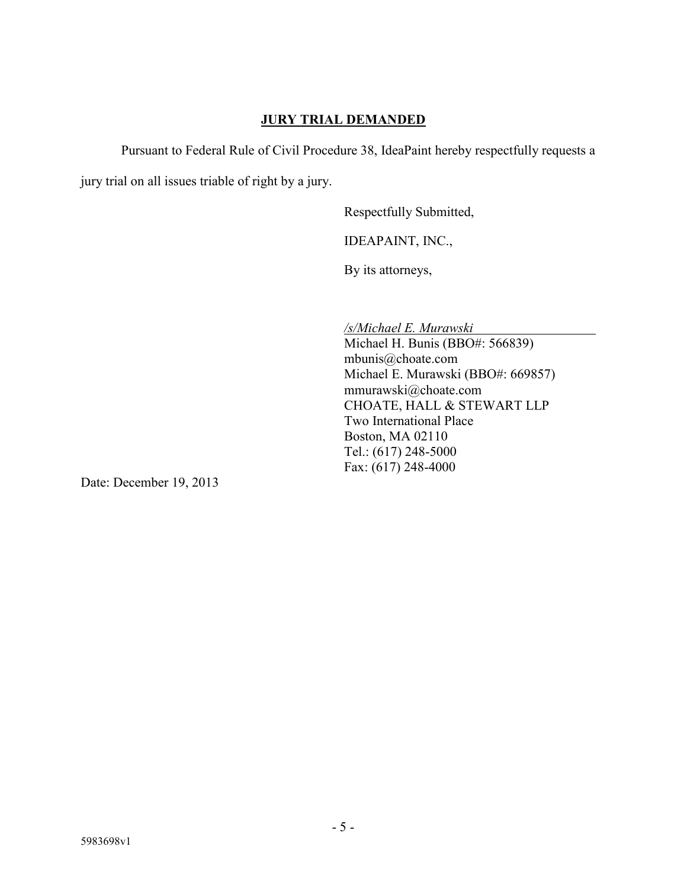## **JURY TRIAL DEMANDED**

Pursuant to Federal Rule of Civil Procedure 38, IdeaPaint hereby respectfully requests a

jury trial on all issues triable of right by a jury.

Respectfully Submitted,

IDEAPAINT, INC.,

By its attorneys,

*/s/Michael E. Murawski*

Michael H. Bunis (BBO#: 566839) mbunis@choate.com Michael E. Murawski (BBO#: 669857) mmurawski@choate.com CHOATE, HALL & STEWART LLP Two International Place Boston, MA 02110 Tel.: (617) 248-5000 Fax: (617) 248-4000

Date: December 19, 2013